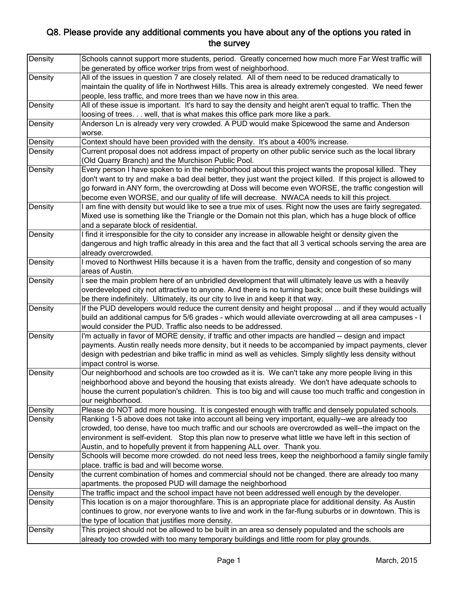| Density | Schools cannot support more students, period. Greatly concerned how much more Far West traffic will<br>be generated by office worker trips from west of neighborhood.                                   |
|---------|---------------------------------------------------------------------------------------------------------------------------------------------------------------------------------------------------------|
| Density | All of the issues in question 7 are closely related. All of them need to be reduced dramatically to                                                                                                     |
|         | maintain the quality of life in Northwest Hills. This area is already extremely congested. We need fewer                                                                                                |
|         | people, less traffic, and more trees than we have now in this area.                                                                                                                                     |
| Density | All of these issue is important. It's hard to say the density and height aren't equal to traffic. Then the                                                                                              |
|         | loosing of trees. well, that is what makes this office park more like a park.                                                                                                                           |
| Density | Anderson Ln is already very very crowded. A PUD would make Spicewood the same and Anderson                                                                                                              |
|         | worse.                                                                                                                                                                                                  |
| Density | Context should have been provided with the density. It's about a 400% increase.                                                                                                                         |
| Density | Current proposal does not address impact of property on other public service such as the local library                                                                                                  |
|         | (Old Quarry Branch) and the Murchison Public Pool.                                                                                                                                                      |
| Density | Every person I have spoken to in the neighborhood about this project wants the proposal killed. They                                                                                                    |
|         | don't want to try and make a bad deal better, they just want the project killed. If this project is allowed to                                                                                          |
|         | go forward in ANY form, the overcrowding at Doss will become even WORSE, the traffic congestion will                                                                                                    |
|         | become even WORSE, and our quality of life will decrease. NWACA needs to kill this project.                                                                                                             |
| Density | I am fine with density but would like to see a true mix of uses. Right now the uses are fairly segregated.                                                                                              |
|         | Mixed use is something like the Triangle or the Domain not this plan, which has a huge block of office                                                                                                  |
|         | and a separate block of residential.                                                                                                                                                                    |
| Density | I find it irresponsible for the city to consider any increase in allowable height or density given the                                                                                                  |
|         | dangerous and high traffic already in this area and the fact that all 3 vertical schools serving the area are                                                                                           |
|         | already overcrowded.                                                                                                                                                                                    |
| Density | I moved to Northwest Hills because it is a haven from the traffic, density and congestion of so many                                                                                                    |
|         | areas of Austin.                                                                                                                                                                                        |
| Density | I see the main problem here of an unbridled development that will ultimately leave us with a heavily                                                                                                    |
|         | overdeveloped city not attractive to anyone. And there is no turning back; once built these buildings will                                                                                              |
|         | be there indefinitely. Ultimately, its our city to live in and keep it that way.                                                                                                                        |
| Density | If the PUD developers would reduce the current density and height proposal  and if they would actually                                                                                                  |
|         | build an additional campus for 5/6 grades - which would alleviate overcrowding at all area campuses - I                                                                                                 |
|         | would consider the PUD. Traffic also needs to be addressed.                                                                                                                                             |
| Density | I'm actually in favor of MORE density, if traffic and other impacts are handled -- design and impact                                                                                                    |
|         | payments. Austin really needs more density, but it needs to be accompanied by impact payments, clever                                                                                                   |
|         | design with pedestrian and bike traffic in mind as well as vehicles. Simply slightly less density without                                                                                               |
|         | impact control is worse.                                                                                                                                                                                |
| Density | Our neighborhood and schools are too crowded as it is. We can't take any more people living in this<br>neighborhood above and beyond the housing that exists already. We don't have adequate schools to |
|         | house the current population's children. This is too big and will cause too much traffic and congestion in                                                                                              |
|         | our neighborhood.                                                                                                                                                                                       |
| Density | Please do NOT add more housing. It is congested enough with traffic and densely populated schools.                                                                                                      |
|         | Ranking 1-5 above does not take into account all being very important, equally--we are already too                                                                                                      |
| Density | crowded, too dense, have too much traffic and our schools are overcrowded as well--the impact on the                                                                                                    |
|         | environment is self-evident. Stop this plan now to preserve what little we have left in this section of                                                                                                 |
|         | Austin, and to hopefully prevent it from happening ALL over. Thank you.                                                                                                                                 |
| Density | Schools will become more crowded. do not need less trees, keep the neighborhood a family single family                                                                                                  |
|         | place. traffic is bad and will become worse.                                                                                                                                                            |
| Density | the current combination of homes and commercial should not be changed. there are already too many                                                                                                       |
|         | apartments. the proposed PUD will damage the neighborhood                                                                                                                                               |
| Density | The traffic impact and the school impact have not been addressed well enough by the developer.                                                                                                          |
| Density | This location is on a major thoroughfare. This is an appropriate place for additional density. As Austin                                                                                                |
|         | continues to grow, nor everyone wants to live and work in the far-flung suburbs or in downtown. This is                                                                                                 |
|         | the type of location that justifies more density.                                                                                                                                                       |
| Density | This project should not be allowed to be built in an area so densely populated and the schools are                                                                                                      |
|         | already too crowded with too many temporary buildings and little room for play grounds.                                                                                                                 |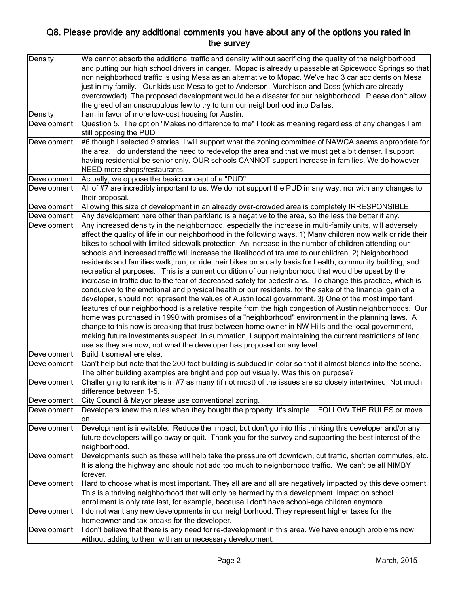| Density     | We cannot absorb the additional traffic and density without sacrificing the quality of the neighborhood       |
|-------------|---------------------------------------------------------------------------------------------------------------|
|             | and putting our high school drivers in danger. Mopac is already u passable at Spicewood Springs so that       |
|             | non neighborhood traffic is using Mesa as an alternative to Mopac. We've had 3 car accidents on Mesa          |
|             | just in my family. Our kids use Mesa to get to Anderson, Murchison and Doss (which are already                |
|             | overcrowded). The proposed development would be a disaster for our neighborhood. Please don't allow           |
|             | the greed of an unscrupulous few to try to turn our neighborhood into Dallas.                                 |
| Density     | I am in favor of more low-cost housing for Austin.                                                            |
| Development | Question 5. The option "Makes no difference to me" I took as meaning regardless of any changes I am           |
|             | still opposing the PUD                                                                                        |
| Development | #6 though I selected 9 stories, I will support what the zoning committee of NAWCA seems appropriate for       |
|             | the area. I do understand the need to redevelop the area and that we must get a bit denser. I support         |
|             | having residential be senior only. OUR schools CANNOT support increase in families. We do however             |
|             |                                                                                                               |
|             | NEED more shops/restaurants.                                                                                  |
| Development | Actually, we oppose the basic concept of a "PUD"                                                              |
| Development | All of #7 are incredibly important to us. We do not support the PUD in any way, nor with any changes to       |
|             | their proposal.                                                                                               |
| Development | Allowing this size of development in an already over-crowded area is completely IRRESPONSIBLE.                |
| Development | Any development here other than parkland is a negative to the area, so the less the better if any.            |
| Development | Any increased density in the neighborhood, especially the increase in multi-family units, will adversely      |
|             | affect the quality of life in our neighborhood in the following ways. 1) Many children now walk or ride their |
|             | bikes to school with limited sidewalk protection. An increase in the number of children attending our         |
|             | schools and increased traffic will increase the likelihood of trauma to our children. 2) Neighborhood         |
|             | residents and families walk, run, or ride their bikes on a daily basis for health, community building, and    |
|             | recreational purposes. This is a current condition of our neighborhood that would be upset by the             |
|             | increase in traffic due to the fear of decreased safety for pedestrians. To change this practice, which is    |
|             | conducive to the emotional and physical health or our residents, for the sake of the financial gain of a      |
|             | developer, should not represent the values of Austin local government. 3) One of the most important           |
|             | features of our neighborhood is a relative respite from the high congestion of Austin neighborhoods. Our      |
|             | home was purchased in 1990 with promises of a "neighborhood" environment in the planning laws. A              |
|             | change to this now is breaking that trust between home owner in NW Hills and the local government,            |
|             | making future investments suspect. In summation, I support maintaining the current restrictions of land       |
|             | use as they are now, not what the developer has proposed on any level.                                        |
| Development | Build it somewhere else.                                                                                      |
| Development | Can't help but note that the 200 foot building is subdued in color so that it almost blends into the scene.   |
|             | The other building examples are bright and pop out visually. Was this on purpose?                             |
| Development | Challenging to rank items in #7 as many (if not most) of the issues are so closely intertwined. Not much      |
|             | difference between 1-5.                                                                                       |
| Development | City Council & Mayor please use conventional zoning.                                                          |
| Development | Developers knew the rules when they bought the property. It's simple FOLLOW THE RULES or move                 |
|             | on.                                                                                                           |
| Development | Development is inevitable. Reduce the impact, but don't go into this thinking this developer and/or any       |
|             | future developers will go away or quit. Thank you for the survey and supporting the best interest of the      |
|             | neighborhood.                                                                                                 |
| Development | Developments such as these will help take the pressure off downtown, cut traffic, shorten commutes, etc.      |
|             | It is along the highway and should not add too much to neighborhood traffic. We can't be all NIMBY            |
|             | forever.                                                                                                      |
| Development | Hard to choose what is most important. They all are and all are negatively impacted by this development.      |
|             |                                                                                                               |
|             | This is a thriving neighborhood that will only be harmed by this development. Impact on school                |
|             | enrollment is only rate last, for example, because I don't have school-age children anymore.                  |
| Development | I do not want any new developments in our neighborhood. They represent higher taxes for the                   |
|             | homeowner and tax breaks for the developer.                                                                   |
| Development | I don't believe that there is any need for re-development in this area. We have enough problems now           |
|             | without adding to them with an unnecessary development.                                                       |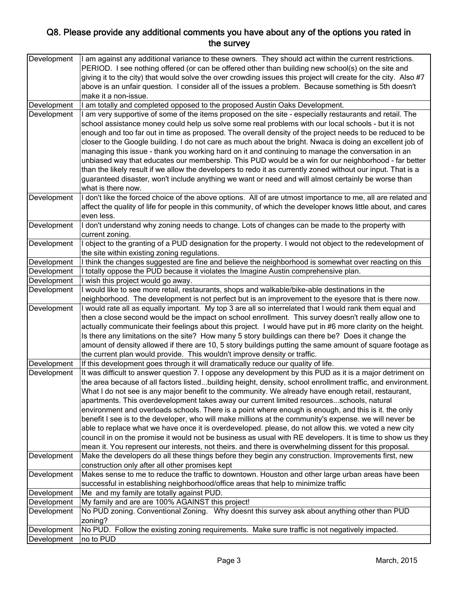| Development | I am against any additional variance to these owners. They should act within the current restrictions.<br>PERIOD. I see nothing offered (or can be offered other than building new school(s) on the site and   |
|-------------|----------------------------------------------------------------------------------------------------------------------------------------------------------------------------------------------------------------|
|             | giving it to the city) that would solve the over crowding issues this project will create for the city. Also #7                                                                                                |
|             | above is an unfair question. I consider all of the issues a problem. Because something is 5th doesn't                                                                                                          |
|             | make it a non-issue.                                                                                                                                                                                           |
| Development | I am totally and completed opposed to the proposed Austin Oaks Development.                                                                                                                                    |
| Development | am very supportive of some of the items proposed on the site - especially restaurants and retail. The                                                                                                          |
|             | school assistance money could help us solve some real problems with our local schools - but it is not                                                                                                          |
|             | enough and too far out in time as proposed. The overall density of the project needs to be reduced to be                                                                                                       |
|             | closer to the Google building. I do not care as much about the bright. Nwaca is doing an excellent job of                                                                                                      |
|             | managing this issue - thank you working hard on it and continuing to manage the conversation in an                                                                                                             |
|             | unbiased way that educates our membership. This PUD would be a win for our neighborhood - far better                                                                                                           |
|             | than the likely result if we allow the developers to redo it as currently zoned without our input. That is a                                                                                                   |
|             | guaranteed disaster, won't include anything we want or need and will almost certainly be worse than                                                                                                            |
|             | what is there now.                                                                                                                                                                                             |
| Development | I don't like the forced choice of the above options. All of are utmost importance to me, all are related and                                                                                                   |
|             | affect the quality of life for people in this community, of which the developer knows little about, and cares                                                                                                  |
|             | even less.                                                                                                                                                                                                     |
| Development | I don't understand why zoning needs to change. Lots of changes can be made to the property with                                                                                                                |
|             | current zoning.                                                                                                                                                                                                |
| Development | I object to the granting of a PUD designation for the property. I would not object to the redevelopment of                                                                                                     |
|             | the site within existing zoning regulations.                                                                                                                                                                   |
| Development | I think the changes suggested are fine and believe the neighborhood is somewhat over reacting on this                                                                                                          |
| Development | I totally oppose the PUD because it violates the Imagine Austin comprehensive plan.                                                                                                                            |
| Development | wish this project would go away.                                                                                                                                                                               |
| Development | would like to see more retail, restaurants, shops and walkable/bike-able destinations in the                                                                                                                   |
|             | neighborhood. The development is not perfect but is an improvement to the eyesore that is there now.                                                                                                           |
| Development | I would rate all as equally important. My top 3 are all so interrelated that I would rank them equal and                                                                                                       |
|             | then a close second would be the impact on school enrollment. This survey doesn't really allow one to                                                                                                          |
|             | actually communicate their feelings about this project. I would have put in #6 more clarity on the height.                                                                                                     |
|             | Is there any limitations on the site? How many 5 story buildings can there be? Does it change the<br>amount of density allowed if there are 10, 5 story buildings putting the same amount of square footage as |
|             | the current plan would provide. This wouldn't improve density or traffic.                                                                                                                                      |
| Development | If this development goes through it will dramatically reduce our quality of life.                                                                                                                              |
| Development | It was difficult to answer question 7. I oppose any development by this PUD as it is a major detriment on                                                                                                      |
|             | the area because of all factors listedbuilding height, density, school enrollment traffic, and environment.                                                                                                    |
|             | What I do not see is any major benefit to the community. We already have enough retail, restaurant,                                                                                                            |
|             | apartments. This overdevelopment takes away our current limited resourcesschools, natural                                                                                                                      |
|             | environment and overloads schools. There is a point where enough is enough, and this is it. the only                                                                                                           |
|             | benefit I see is to the developer, who will make millions at the community's expense. we will never be                                                                                                         |
|             | able to replace what we have once it is overdeveloped. please, do not allow this. we voted a new city                                                                                                          |
|             | council in on the promise it would not be business as usual with RE developers. It is time to show us they                                                                                                     |
|             | mean it. You represent our interests, not theirs. and there is overwhelming dissent for this proposal.                                                                                                         |
| Development | Make the developers do all these things before they begin any construction. Improvements first, new                                                                                                            |
|             | construction only after all other promises kept                                                                                                                                                                |
| Development | Makes sense to me to reduce the traffic to downtown. Houston and other large urban areas have been                                                                                                             |
|             | successful in establishing neighborhood/office areas that help to minimize traffic                                                                                                                             |
| Development | Me and my family are totally against PUD.                                                                                                                                                                      |
| Development | My family and are are 100% AGAINST this project!                                                                                                                                                               |
| Development | No PUD zoning. Conventional Zoning. Why doesnt this survey ask about anything other than PUD                                                                                                                   |
|             | zoning?                                                                                                                                                                                                        |
| Development | No PUD. Follow the existing zoning requirements. Make sure traffic is not negatively impacted.                                                                                                                 |
| Development | no to PUD                                                                                                                                                                                                      |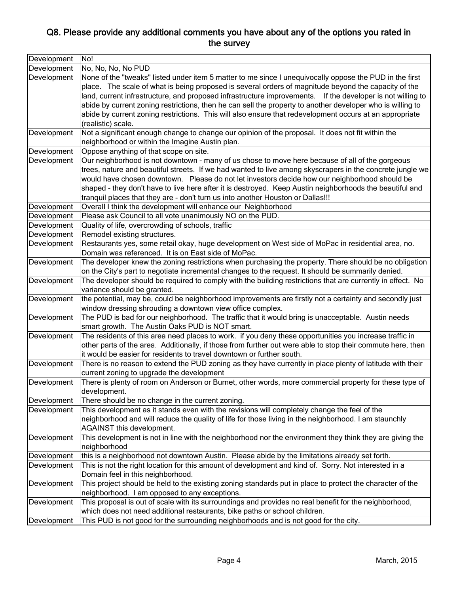| Development | No!                                                                                                                                                                                                                                                                                                                                                                                                                                                                                                                                                                          |
|-------------|------------------------------------------------------------------------------------------------------------------------------------------------------------------------------------------------------------------------------------------------------------------------------------------------------------------------------------------------------------------------------------------------------------------------------------------------------------------------------------------------------------------------------------------------------------------------------|
| Development | No, No, No, No PUD                                                                                                                                                                                                                                                                                                                                                                                                                                                                                                                                                           |
| Development | None of the "tweaks" listed under item 5 matter to me since I unequivocally oppose the PUD in the first<br>place. The scale of what is being proposed is several orders of magnitude beyond the capacity of the<br>land, current infrastructure, and proposed infrastructure improvements. If the developer is not willing to<br>abide by current zoning restrictions, then he can sell the property to another developer who is willing to<br>abide by current zoning restrictions. This will also ensure that redevelopment occurs at an appropriate<br>(realistic) scale. |
| Development | Not a significant enough change to change our opinion of the proposal. It does not fit within the<br>neighborhood or within the Imagine Austin plan.                                                                                                                                                                                                                                                                                                                                                                                                                         |
| Development | Oppose anything of that scope on site.                                                                                                                                                                                                                                                                                                                                                                                                                                                                                                                                       |
| Development | Our neighborhood is not downtown - many of us chose to move here because of all of the gorgeous<br>trees, nature and beautiful streets. If we had wanted to live among skyscrapers in the concrete jungle we<br>would have chosen downtown. Please do not let investors decide how our neighborhood should be<br>shaped - they don't have to live here after it is destroyed. Keep Austin neighborhoods the beautiful and<br>tranquil places that they are - don't turn us into another Houston or Dallas!!!                                                                 |
| Development | Overall I think the development will enhance our Neighborhood                                                                                                                                                                                                                                                                                                                                                                                                                                                                                                                |
| Development | Please ask Council to all vote unanimously NO on the PUD.                                                                                                                                                                                                                                                                                                                                                                                                                                                                                                                    |
| Development | Quality of life, overcrowding of schools, traffic                                                                                                                                                                                                                                                                                                                                                                                                                                                                                                                            |
| Development | Remodel existing structures.                                                                                                                                                                                                                                                                                                                                                                                                                                                                                                                                                 |
| Development | Restaurants yes, some retail okay, huge development on West side of MoPac in residential area, no.<br>Domain was referenced. It is on East side of MoPac.                                                                                                                                                                                                                                                                                                                                                                                                                    |
| Development | The developer knew the zoning restrictions when purchasing the property. There should be no obligation<br>on the City's part to negotiate incremental changes to the request. It should be summarily denied.                                                                                                                                                                                                                                                                                                                                                                 |
| Development | The developer should be required to comply with the building restrictions that are currently in effect. No<br>variance should be granted.                                                                                                                                                                                                                                                                                                                                                                                                                                    |
| Development | the potential, may be, could be neighborhood improvements are firstly not a certainty and secondly just<br>window dressing shrouding a downtown view office complex.                                                                                                                                                                                                                                                                                                                                                                                                         |
| Development | The PUD is bad for our neighborhood. The traffic that it would bring is unacceptable. Austin needs<br>smart growth. The Austin Oaks PUD is NOT smart.                                                                                                                                                                                                                                                                                                                                                                                                                        |
| Development | The residents of this area need places to work. if you deny these opportunities you increase traffic in<br>other parts of the area. Additionally, if those from further out were able to stop their commute here, then<br>it would be easier for residents to travel downtown or further south.                                                                                                                                                                                                                                                                              |
| Development | There is no reason to extend the PUD zoning as they have currently in place plenty of latitude with their<br>current zoning to upgrade the development                                                                                                                                                                                                                                                                                                                                                                                                                       |
| Development | There is plenty of room on Anderson or Burnet, other words, more commercial property for these type of<br>development.                                                                                                                                                                                                                                                                                                                                                                                                                                                       |
| Development | There should be no change in the current zoning.                                                                                                                                                                                                                                                                                                                                                                                                                                                                                                                             |
| Development | This development as it stands even with the revisions will completely change the feel of the<br>neighborhood and will reduce the quality of life for those living in the neighborhood. I am staunchly<br>AGAINST this development.                                                                                                                                                                                                                                                                                                                                           |
| Development | This development is not in line with the neighborhood nor the environment they think they are giving the<br>neighborhood                                                                                                                                                                                                                                                                                                                                                                                                                                                     |
| Development | this is a neighborhood not downtown Austin. Please abide by the limitations already set forth.                                                                                                                                                                                                                                                                                                                                                                                                                                                                               |
| Development | This is not the right location for this amount of development and kind of. Sorry. Not interested in a<br>Domain feel in this neighborhood.                                                                                                                                                                                                                                                                                                                                                                                                                                   |
| Development | This project should be held to the existing zoning standards put in place to protect the character of the<br>neighborhood. I am opposed to any exceptions.                                                                                                                                                                                                                                                                                                                                                                                                                   |
| Development | This proposal is out of scale with its surroundings and provides no real benefit for the neighborhood,<br>which does not need additional restaurants, bike paths or school children.                                                                                                                                                                                                                                                                                                                                                                                         |
| Development | This PUD is not good for the surrounding neighborhoods and is not good for the city.                                                                                                                                                                                                                                                                                                                                                                                                                                                                                         |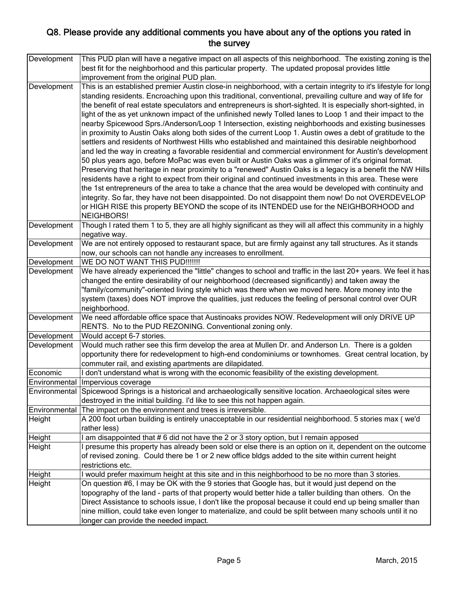| Development   | This PUD plan will have a negative impact on all aspects of this neighborhood. The existing zoning is the          |
|---------------|--------------------------------------------------------------------------------------------------------------------|
|               | best fit for the neighborhood and this particular property. The updated proposal provides little                   |
|               | improvement from the original PUD plan.                                                                            |
| Development   | This is an established premier Austin close-in neighborhood, with a certain integrity to it's lifestyle for long   |
|               | standing residents. Encroaching upon this traditional, conventional, prevailing culture and way of life for        |
|               | the benefit of real estate speculators and entrepreneurs is short-sighted. It is especially short-sighted, in      |
|               | light of the as yet unknown impact of the unfinished newly Tolled lanes to Loop 1 and their impact to the          |
|               | nearby Spicewood Sprs./Anderson/Loop 1 Intersection, existing neighborhoods and existing businesses                |
|               | in proximity to Austin Oaks along both sides of the current Loop 1. Austin owes a debt of gratitude to the         |
|               | settlers and residents of Northwest Hills who established and maintained this desirable neighborhood               |
|               | and led the way in creating a favorable residential and commercial environment for Austin's development            |
|               | 50 plus years ago, before MoPac was even built or Austin Oaks was a glimmer of it's original format.               |
|               | Preserving that heritage in near proximity to a "renewed" Austin Oaks is a legacy is a benefit the NW Hills        |
|               | residents have a right to expect from their original and continued investments in this area. These were            |
|               | the 1st entrepreneurs of the area to take a chance that the area would be developed with continuity and            |
|               | integrity. So far, they have not been disappointed. Do not disappoint them now! Do not OVERDEVELOP                 |
|               | or HIGH RISE this property BEYOND the scope of its INTENDED use for the NEIGHBORHOOD and                           |
|               | <b>NEIGHBORS!</b>                                                                                                  |
|               |                                                                                                                    |
| Development   | Though I rated them 1 to 5, they are all highly significant as they will all affect this community in a highly     |
|               | negative way.                                                                                                      |
| Development   | We are not entirely opposed to restaurant space, but are firmly against any tall structures. As it stands          |
|               | now, our schools can not handle any increases to enrollment.                                                       |
| Development   | WE DO NOT WANT THIS PUD!!!!!!!                                                                                     |
| Development   | We have already experienced the "little" changes to school and traffic in the last 20+ years. We feel it has       |
|               | changed the entire desirability of our neighborhood (decreased significantly) and taken away the                   |
|               | "family/community"-oriented living style which was there when we moved here. More money into the                   |
|               | system (taxes) does NOT improve the qualities, just reduces the feeling of personal control over OUR               |
|               | neighborhood.                                                                                                      |
| Development   | We need affordable office space that Austinoaks provides NOW. Redevelopment will only DRIVE UP                     |
|               | RENTS. No to the PUD REZONING. Conventional zoning only.                                                           |
| Development   | Would accept 6-7 stories.                                                                                          |
| Development   | Would much rather see this firm develop the area at Mullen Dr. and Anderson Ln. There is a golden                  |
|               | opportunity there for redevelopment to high-end condominiums or townhomes. Great central location, by              |
|               | commuter rail, and existing apartments are dilapidated.                                                            |
| Economic      | I don't understand what is wrong with the economic feasibility of the existing development.                        |
| Environmental | Impervious coverage                                                                                                |
|               | Environmental Spicewood Springs is a historical and archaeologically sensitive location. Archaeological sites were |
|               | destroyed in the initial building. I'd like to see this not happen again.                                          |
| Environmental | The impact on the environment and trees is irreversible.                                                           |
| Height        | A 200 foot urban building is entirely unacceptable in our residential neighborhood. 5 stories max (we'd            |
|               | rather less)                                                                                                       |
| Height        | am disappointed that #6 did not have the 2 or 3 story option, but I remain apposed                                 |
| Height        | presume this property has already been sold or else there is an option on it, dependent on the outcome             |
|               | of revised zoning. Could there be 1 or 2 new office bldgs added to the site within current height                  |
|               | restrictions etc.                                                                                                  |
| Height        | I would prefer maximum height at this site and in this neighborhood to be no more than 3 stories.                  |
| Height        | On question #6, I may be OK with the 9 stories that Google has, but it would just depend on the                    |
|               | topography of the land - parts of that property would better hide a taller building than others. On the            |
|               | Direct Assistance to schools issue, I don't like the proposal because it could end up being smaller than           |
|               | nine million, could take even longer to materialize, and could be split between many schools until it no           |
|               | longer can provide the needed impact.                                                                              |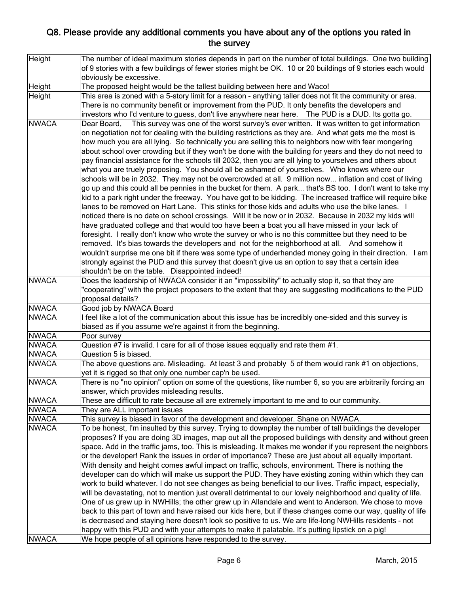| Height       | The number of ideal maximum stories depends in part on the number of total buildings. One two building        |
|--------------|---------------------------------------------------------------------------------------------------------------|
|              | of 9 stories with a few buildings of fewer stories might be OK. 10 or 20 buildings of 9 stories each would    |
|              | obviously be excessive.                                                                                       |
| Height       | The proposed height would be the tallest building between here and Waco!                                      |
| Height       | This area is zoned with a 5-story limit for a reason - anything taller does not fit the community or area.    |
|              | There is no community benefit or improvement from the PUD. It only benefits the developers and                |
|              | investors who I'd venture to guess, don't live anywhere near here.  The PUD is a DUD. Its gotta go.           |
| <b>NWACA</b> | Dear Board, This survey was one of the worst survey's ever written. It was written to get information         |
|              | on negotiation not for dealing with the building restrictions as they are. And what gets me the most is       |
|              | how much you are all lying. So technically you are selling this to neighbors now with fear mongering          |
|              | about school over crowding but if they won't be done with the building for years and they do not need to      |
|              | pay financial assistance for the schools till 2032, then you are all lying to yourselves and others about     |
|              | what you are truely proposing. You should all be ashamed of yourselves. Who knows where our                   |
|              |                                                                                                               |
|              | schools will be in 2032. They may not be overcrowded at all. 9 million now inflation and cost of living       |
|              | go up and this could all be pennies in the bucket for them. A park that's BS too. I don't want to take my     |
|              | kid to a park right under the freeway. You have got to be kidding. The increased traffice will require bike   |
|              | lanes to be removed on Hart Lane. This stinks for those kids and adults who use the bike lanes. I             |
|              | noticed there is no date on school crossings. Will it be now or in 2032. Because in 2032 my kids will         |
|              | have graduated college and that would too have been a boat you all have missed in your lack of                |
|              | foresight. I really don't know who wrote the survey or who is no this committee but they need to be           |
|              | removed. It's bias towards the developers and not for the neighborhood at all. And somehow it                 |
|              | wouldn't surprise me one bit if there was some type of underhanded money going in their direction. $\vert$ am |
|              | strongly against the PUD and this survey that doesn't give us an option to say that a certain idea            |
|              | shouldn't be on the table. Disappointed indeed!                                                               |
| <b>NWACA</b> | Does the leadership of NWACA consider it an "impossibility" to actually stop it, so that they are             |
|              | "cooperating" with the project proposers to the extent that they are suggesting modifications to the PUD      |
|              | proposal details?                                                                                             |
| <b>NWACA</b> | Good job by NWACA Board                                                                                       |
| <b>NWACA</b> | I feel like a lot of the communication about this issue has be incredibly one-sided and this survey is        |
|              | biased as if you assume we're against it from the beginning.                                                  |
| <b>NWACA</b> | Poor survey                                                                                                   |
| <b>NWACA</b> | Question #7 is invalid. I care for all of those issues eqqually and rate them #1.                             |
| <b>NWACA</b> | Question 5 is biased.                                                                                         |
| <b>NWACA</b> | The above questions are. Misleading. At least 3 and probably 5 of them would rank #1 on objections,           |
|              | yet it is rigged so that only one number cap'n be used.                                                       |
| <b>NWACA</b> | There is no "no opinion" option on some of the questions, like number 6, so you are arbitrarily forcing an    |
|              | answer, which provides misleading results.                                                                    |
| <b>NWACA</b> | These are difficult to rate because all are extremely important to me and to our community.                   |
| <b>NWACA</b> | They are ALL important issues                                                                                 |
| <b>NWACA</b> | This survey is biased in favor of the development and developer. Shane on NWACA.                              |
| <b>NWACA</b> | To be honest, I'm insulted by this survey. Trying to downplay the number of tall buildings the developer      |
|              | proposes? If you are doing 3D images, map out all the proposed buildings with density and without green       |
|              | space. Add in the traffic jams, too. This is misleading. It makes me wonder if you represent the neighbors    |
|              | or the developer! Rank the issues in order of importance? These are just about all equally important.         |
|              | With density and height comes awful impact on traffic, schools, environment. There is nothing the             |
|              | developer can do which will make us support the PUD. They have existing zoning within which they can          |
|              | work to build whatever. I do not see changes as being beneficial to our lives. Traffic impact, especially,    |
|              | will be devastating, not to mention just overall detrimental to our lovely neighborhood and quality of life.  |
|              | One of us grew up in NWHills; the other grew up in Allandale and went to Anderson. We chose to move           |
|              | back to this part of town and have raised our kids here, but if these changes come our way, quality of life   |
|              | is decreased and staying here doesn't look so positive to us. We are life-long NWHills residents - not        |
|              |                                                                                                               |
|              | happy with this PUD and with your attempts to make it palatable. It's putting lipstick on a pig!              |
| <b>NWACA</b> | We hope people of all opinions have responded to the survey.                                                  |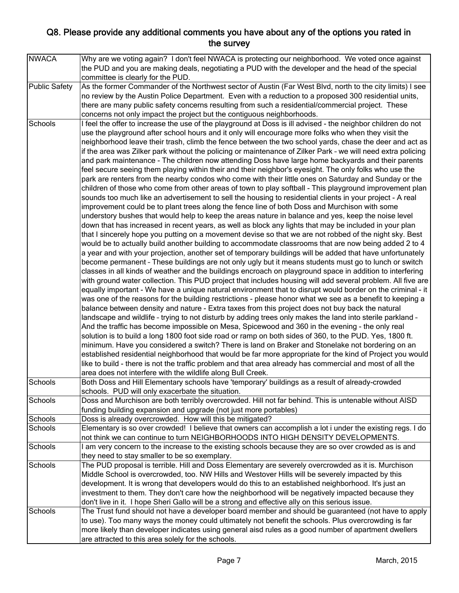| <b>NWACA</b>         | Why are we voting again? I don't feel NWACA is protecting our neighborhood. We voted once against            |
|----------------------|--------------------------------------------------------------------------------------------------------------|
|                      | the PUD and you are making deals, negotiating a PUD with the developer and the head of the special           |
|                      | committee is clearly for the PUD.                                                                            |
| <b>Public Safety</b> | As the former Commander of the Northwest sector of Austin (Far West Blvd, north to the city limits) I see    |
|                      | no review by the Austin Police Department. Even with a reduction to a proposed 300 residential units,        |
|                      | there are many public safety concerns resulting from such a residential/commercial project. These            |
|                      | concerns not only impact the project but the contiguous neighborhoods.                                       |
| Schools              | I feel the offer to increase the use of the playground at Doss is ill advised - the neighbor children do not |
|                      | use the playground after school hours and it only will encourage more folks who when they visit the          |
|                      | neighborhood leave their trash, climb the fence between the two school yards, chase the deer and act as      |
|                      | if the area was Zilker park without the policing or maintenance of Zilker Park - we will need extra policing |
|                      | and park maintenance - The children now attending Doss have large home backyards and their parents           |
|                      | feel secure seeing them playing within their and their neighbor's eyesight. The only folks who use the       |
|                      | park are renters from the nearby condos who come with their little ones on Saturday and Sunday or the        |
|                      | children of those who come from other areas of town to play softball - This playground improvement plan      |
|                      | sounds too much like an advertisement to sell the housing to residential clients in your project - A real    |
|                      | improvement could be to plant trees along the fence line of both Doss and Murchison with some                |
|                      |                                                                                                              |
|                      | understory bushes that would help to keep the areas nature in balance and yes, keep the noise level          |
|                      | down that has increased in recent years, as well as block any lights that may be included in your plan       |
|                      | that I sincerely hope you putting on a movement devise so that we are not robbed of the night sky. Best      |
|                      | would be to actually build another building to accommodate classrooms that are now being added 2 to 4        |
|                      | a year and with your projection, another set of temporary buildings will be added that have unfortunately    |
|                      | become permanent - These buildings are not only ugly but it means students must go to lunch or switch        |
|                      | classes in all kinds of weather and the buildings encroach on playground space in addition to interfering    |
|                      | with ground water collection. This PUD project that includes housing will add several problem. All five are  |
|                      | equally important - We have a unique natural environment that to disrupt would border on the criminal - it   |
|                      | was one of the reasons for the building restrictions - please honor what we see as a benefit to keeping a    |
|                      | balance between density and nature - Extra taxes from this project does not buy back the natural             |
|                      | landscape and wildlife - trying to not disturb by adding trees only makes the land into sterile parkland -   |
|                      | And the traffic has become impossible on Mesa, Spicewood and 360 in the evening - the only real              |
|                      | solution is to build a long 1800 foot side road or ramp on both sides of 360, to the PUD. Yes, 1800 ft.      |
|                      | minimum. Have you considered a switch? There is land on Braker and Stonelake not bordering on an             |
|                      | established residential neighborhood that would be far more appropriate for the kind of Project you would    |
|                      | like to build - there is not the traffic problem and that area already has commercial and most of all the    |
|                      | area does not interfere with the wildlife along Bull Creek.                                                  |
| Schools              | Both Doss and Hill Elementary schools have 'temporary' buildings as a result of already-crowded              |
|                      | schools. PUD will only exacerbate the situation.                                                             |
| Schools              | Doss and Murchison are both terribly overcrowded. Hill not far behind. This is untenable without AISD        |
|                      | funding building expansion and upgrade (not just more portables)                                             |
| Schools              | Doss is already overcrowded. How will this be mitigated?                                                     |
| Schools              | Elementary is so over crowded! I believe that owners can accomplish a lot i under the existing regs. I do    |
|                      | not think we can continue to turn NEIGHBORHOODS INTO HIGH DENSITY DEVELOPMENTS.                              |
| Schools              | I am very concern to the increase to the existing schools because they are so over crowded as is and         |
|                      | they need to stay smaller to be so exemplary.                                                                |
| Schools              | The PUD proposal is terrible. Hill and Doss Elementary are severely overcrowded as it is. Murchison          |
|                      | Middle School is overcrowded, too. NW Hills and Westover Hills will be severely impacted by this             |
|                      | development. It is wrong that developers would do this to an established neighborhood. It's just an          |
|                      | investment to them. They don't care how the neighborhood will be negatively impacted because they            |
|                      | don't live in it. I hope Sheri Gallo will be a strong and effective ally on this serious issue.              |
| Schools              | The Trust fund should not have a developer board member and should be guaranteed (not have to apply          |
|                      | to use). Too many ways the money could ultimately not benefit the schools. Plus overcrowding is far          |
|                      | more likely than developer indicates using general aisd rules as a good number of apartment dwellers         |
|                      | are attracted to this area solely for the schools.                                                           |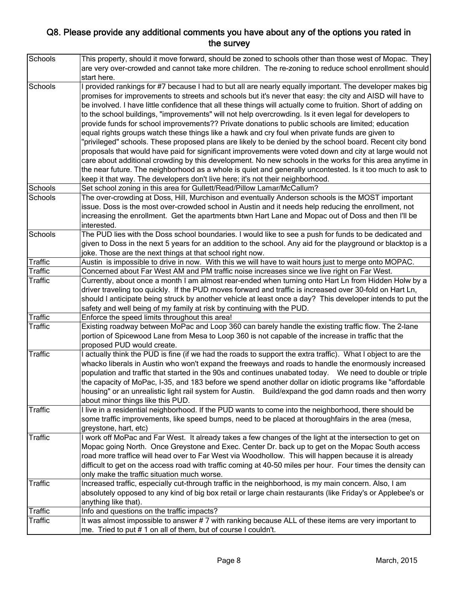| Schools        | This property, should it move forward, should be zoned to schools other than those west of Mopac. They<br>are very over-crowded and cannot take more children. The re-zoning to reduce school enrollment should<br>start here. |
|----------------|--------------------------------------------------------------------------------------------------------------------------------------------------------------------------------------------------------------------------------|
| Schools        | I provided rankings for #7 because I had to but all are nearly equally important. The developer makes big<br>promises for improvements to streets and schools but it's never that easy: the city and AISD will have to         |
|                | be involved. I have little confidence that all these things will actually come to fruition. Short of adding on<br>to the school buildings, "improvements" will not help overcrowding. Is it even legal for developers to       |
|                | provide funds for school improvements?? Private donations to public schools are limited; education                                                                                                                             |
|                | equal rights groups watch these things like a hawk and cry foul when private funds are given to                                                                                                                                |
|                | 'privileged" schools. These proposed plans are likely to be denied by the school board. Recent city bond                                                                                                                       |
|                | proposals that would have paid for significant improvements were voted down and city at large would not                                                                                                                        |
|                | care about additional crowding by this development. No new schools in the works for this area anytime in                                                                                                                       |
|                | the near future. The neighborhood as a whole is quiet and generally uncontested. Is it too much to ask to                                                                                                                      |
|                | keep it that way. The developers don't live here; it's not their neighborhood.                                                                                                                                                 |
| Schools        | Set school zoning in this area for Gullett/Read/Pillow Lamar/McCallum?                                                                                                                                                         |
| Schools        | The over-crowding at Doss, Hill, Murchison and eventually Anderson schools is the MOST important                                                                                                                               |
|                | issue. Doss is the most over-crowded school in Austin and it needs help reducing the enrollment, not                                                                                                                           |
|                | increasing the enrollment. Get the apartments btwn Hart Lane and Mopac out of Doss and then I'll be                                                                                                                            |
| Schools        | interested.                                                                                                                                                                                                                    |
|                | The PUD lies with the Doss school boundaries. I would like to see a push for funds to be dedicated and<br>given to Doss in the next 5 years for an addition to the school. Any aid for the playground or blacktop is a         |
|                | joke. Those are the next things at that school right now.                                                                                                                                                                      |
| Traffic        | Austin is impossible to drive in now. With this we will have to wait hours just to merge onto MOPAC.                                                                                                                           |
| Traffic        | Concerned about Far West AM and PM traffic noise increases since we live right on Far West.                                                                                                                                    |
| <b>Traffic</b> | Currently, about once a month I am almost rear-ended when turning onto Hart Ln from Hidden Holw by a                                                                                                                           |
|                | driver traveling too quickly. If the PUD moves forward and traffic is increased over 30-fold on Hart Ln,                                                                                                                       |
|                | should I anticipate being struck by another vehicle at least once a day? This developer intends to put the                                                                                                                     |
|                | safety and well being of my family at risk by continuing with the PUD.                                                                                                                                                         |
| <b>Traffic</b> | Enforce the speed limits throughout this area!                                                                                                                                                                                 |
| <b>Traffic</b> | Existing roadway between MoPac and Loop 360 can barely handle the existing traffic flow. The 2-lane                                                                                                                            |
|                | portion of Spicewood Lane from Mesa to Loop 360 is not capable of the increase in traffic that the                                                                                                                             |
|                | proposed PUD would create.                                                                                                                                                                                                     |
| Traffic        | I actually think the PUD is fine (if we had the roads to support the extra traffic). What I object to are the<br>whacko liberals in Austin who won't expand the freeways and roads to handle the enormously increased          |
|                | population and traffic that started in the 90s and continues unabated today.  We need to double or triple                                                                                                                      |
|                | the capacity of MoPac, I-35, and 183 before we spend another dollar on idiotic programs like "affordable                                                                                                                       |
|                | housing" or an unrealistic light rail system for Austin. Build/expand the god damn roads and then worry                                                                                                                        |
|                | about minor things like this PUD.                                                                                                                                                                                              |
| <b>Traffic</b> | I live in a residential neighborhood. If the PUD wants to come into the neighborhood, there should be                                                                                                                          |
|                | some traffic improvements, like speed bumps, need to be placed at thoroughfairs in the area (mesa,                                                                                                                             |
|                | greystone, hart, etc)                                                                                                                                                                                                          |
| <b>Traffic</b> | I work off MoPac and Far West. It already takes a few changes of the light at the intersection to get on                                                                                                                       |
|                | Mopac going North. Once Greystone and Exec. Center Dr. back up to get on the Mopac South access                                                                                                                                |
| <b>Traffic</b> | road more traffice will head over to Far West via Woodhollow. This will happen because it is already                                                                                                                           |
|                | difficult to get on the access road with traffic coming at 40-50 miles per hour. Four times the density can                                                                                                                    |
|                | only make the traffic situation much worse.                                                                                                                                                                                    |
|                | Increased traffic, especially cut-through traffic in the neighborhood, is my main concern. Also, I am                                                                                                                          |
|                | absolutely opposed to any kind of big box retail or large chain restaurants (like Friday's or Applebee's or<br>anything like that).                                                                                            |
| Traffic        | Info and questions on the traffic impacts?                                                                                                                                                                                     |
| <b>Traffic</b> | It was almost impossible to answer # 7 with ranking because ALL of these items are very important to                                                                                                                           |
|                | me. Tried to put #1 on all of them, but of course I couldn't.                                                                                                                                                                  |